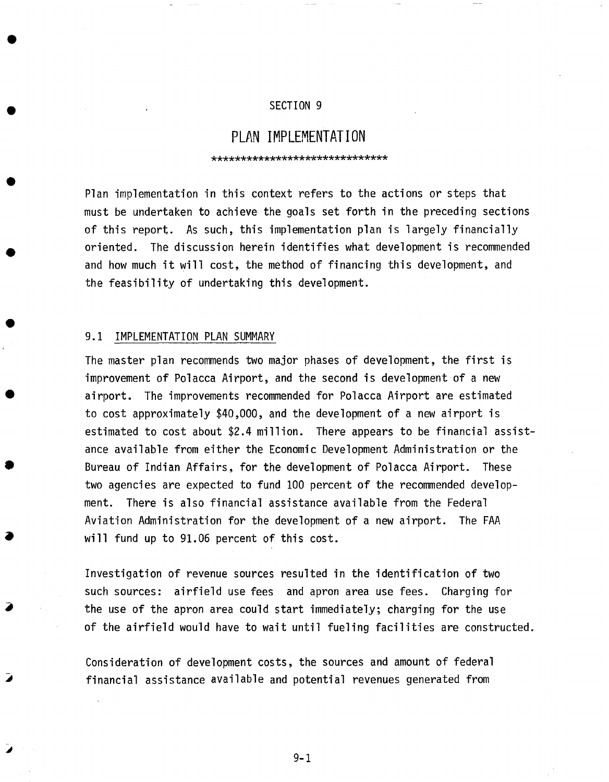### SECTION 9

# **PLAN IMPLEMENTATION**

\*\*\*\*\*\*\*\*\*\*\*\*\*\*\*\*\*\*\*\*\*\*\*\*\*\*\*\*\*\*

Plan implementation in this context refers to the actions or steps that must be undertaken to achieve the goals set forth in the preceding sections of this report. As such, this implementation plan is largely financially oriented. The discussion herein identifies what development is recommended and how much it will cost, the method of financing this development, and the feasibility of undertaking this development.

#### 9.1 IMPLEMENTATION PLAN SUMMARY

The master plan recommends two major phases of development, the first is improvement of Polacca Airport, and the second is development of a new airport. The improvements recommended for Polacca Airport are estimated to cost approximately \$40,000, and the development of a new airport is estimated to cost about \$2.4 million. There appears to be financial assistance available from either the Economic Development Administration or the Bureau of Indian Affairs, for the development of Polacca Airport. These two agencies are expected to fund 100 percent of the recommended development. There is also financial assistance available from the Federal Aviation Administration for the development of a new airport. The FAA will fund up to 91.06 percent of this cost.

Investigation of revenue sources resulted in the identification of two such sources: airfield use fees and apron area use fees. Charging for the use of the apron area could start immediately; charging for the use of the airfield would have to wait until fueling facilities are constructed.

Consideration of development costs, the sources and amount of federal financial assistance available and potential revenues generated from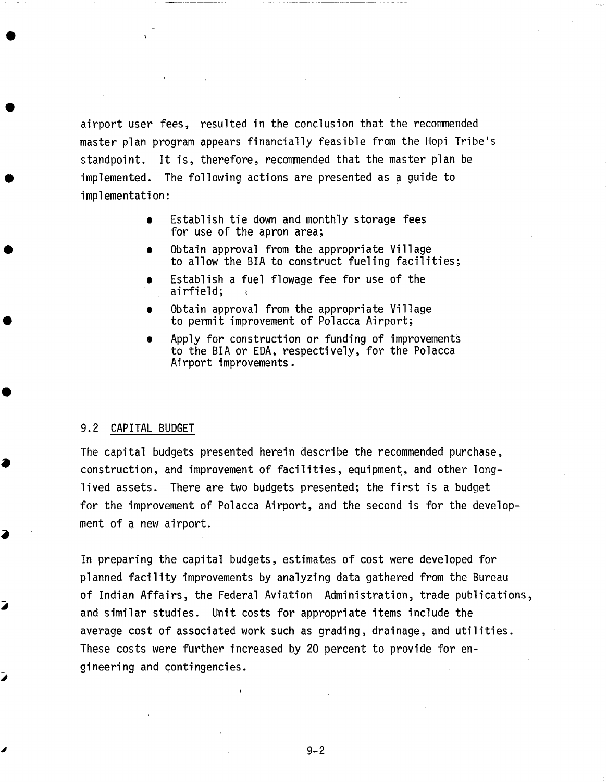airport user fees, resulted in the conclusion that the recommended master plan program appears financially feasible from the Hopi Tribe's standpoint. It is, therefore, recommended that the master plan be implemented. The following actions are presented as a guide to implementation:

- Establish tie down and monthly storage fees for use of the apron area;
- Obtain approval from the appropriate Village to allow the BIA to construct fueling facilities;
- Establish a fuel flowage fee for use of the airfield;
- Obtain approval from the appropriate Village to permit improvement of Polacca Airport;
- Apply for construction or funding of improvements to the BIA or EDA, respectively, for the Polacca Airport improvements.

#### 9.2 CAPITAL BUDGET

The capital budgets presented herein describe the recommended purchase, construction, and improvement of facilities, equipment, and other longlived assets. There are two budgets presented; the first is a budget for the improvement of Polacca Airport, and the second is for the development of a new airport.

In preparing the capital budgets, estimates of cost were developed for planned facility improvements by analyzing data gathered from the Bureau of Indian Affairs, the Federal Aviation Administration, trade publications, and similar studies. Unit costs for appropriate items include the average cost of associated work such as grading, drainage, and utilities. These costs were further increased by 20 percent to provide for engineering and contingencies.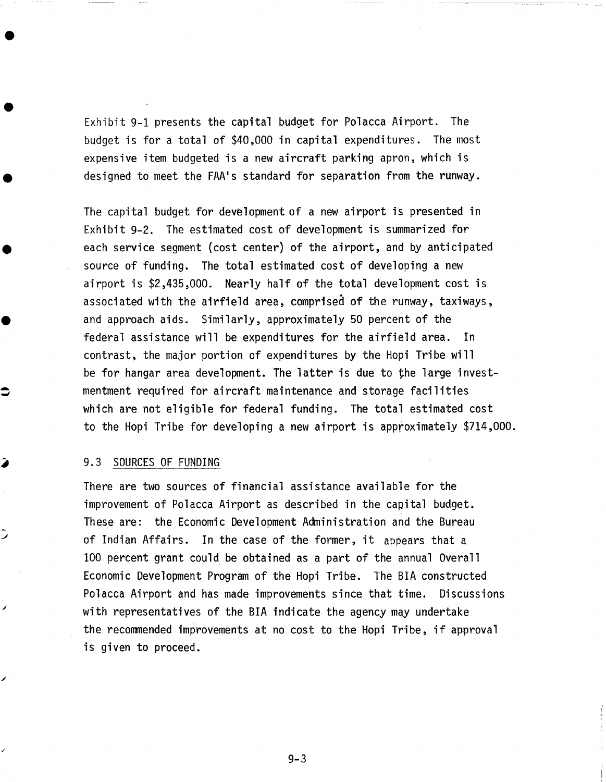Exhibit 9-1 presents the capital budget for Polacca Airport. The budget is for a total of \$40,000 in capital expenditures. The most expensive item budgeted is a new aircraft parking apron, which is designed to meet the FAA's standard for separation from the runway.

The capital budget for development of a new airport is presented in Exhibit 9-2. The estimated cost of development is summarized for each service segment (cost center) of the airport, and by anticipated source of funding, The total estimated cost of developing a new airport is \$2,435,000. Nearly half of the total development cost is associated with the airfield area, comprised of the runway, taxiways, and approach aids. Similarly, approximately 50 percent of the federal assistance will be expenditures for the airfield area. In contrast, the major portion of expenditures by the Hopi Tribe will be for hangar area development. The latter is due to the large investmentment required for aircraft maintenance and storage facilities which are not eligible for federal funding. The total estimated cost to the Hopi Tribe for developing a new airport is approximately \$714,000.

#### 9.3 SOURCES OF FUNDING

There are two sources of financial assistance available for the improvement of Polacca Airport as described in the capital budget. These are: the Economic Development Administration and the Bureau of Indian Affairs. In the case of the former, it appears that a I00 percent grant could be obtained as a part of the annual Overall Economic Development Program of the Hopi Tribe. The BIA constructed Polacca Airport and has made improvements since that time. Discussions with representatives of the BIA indicate the agency may undertake the recommended improvements at no cost to the Hopi Tribe, if approval is given to proceed.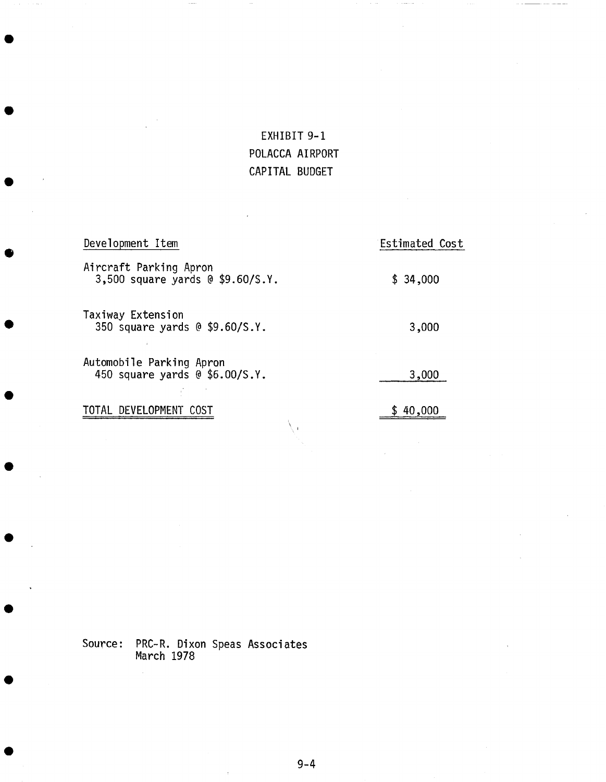# EXHIBIT 9-1 POLACCA AIRPORT CAPITAL BUDGET

| Development Item                                           | Estimated Cost |  |
|------------------------------------------------------------|----------------|--|
| Aircraft Parking Apron<br>3,500 square yards @ \$9.60/S.Y. | \$34,000       |  |
| Taxiway Extension<br>350 square yards @ \$9.60/S.Y.        | 3,000          |  |
| Automobile Parking Apron<br>450 square yards @ \$6.00/S.Y. | 3,000          |  |
| DEVELOPMENT<br>TOTAL                                       | 40,000         |  |

Source: PRC-R. Dixon Speas Associates March 1978

 $\hat{\mathcal{A}}$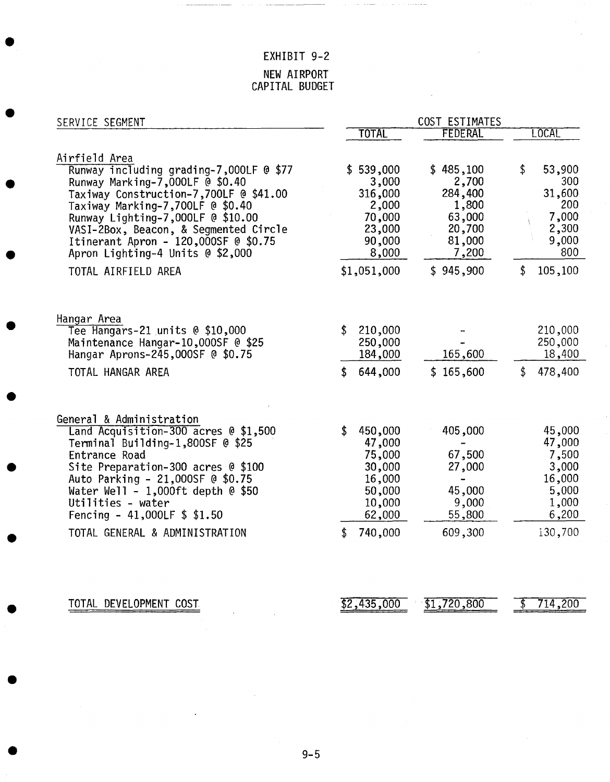## EXHIBIT 9-2

## NEW AIRPORT CAPITAL BUDGET

| SERVICE SEGMENT                                                            |                  | COST ESTIMATES   |                 |
|----------------------------------------------------------------------------|------------------|------------------|-----------------|
|                                                                            | <b>TOTAL</b>     | <b>FEDERAL</b>   | LOCAL           |
| Airfield Area<br>Runway including grading-7,000LF @ \$77                   | \$539,000        | \$485,100        | \$<br>53,900    |
| Runway Marking-7,000LF @ \$0.40                                            | 3,000            | 2,700            | 300             |
| Taxiway Construction-7,700LF @ \$41.00                                     | 316,000          | 284,400          | 31,600          |
| Taxiway Marking-7,700LF @ \$0.40                                           | 2,000            | 1,800            | 200             |
| Runway Lighting-7,000LF @ \$10.00<br>VASI-2Box, Beacon, & Segmented Circle | 70,000<br>23,000 | 63,000<br>20,700 | 7,000<br>2,300  |
| Itinerant Apron - 120,000SF @ \$0.75                                       | 90,000           | 81,000           | 9,000           |
| Apron Lighting-4 Units @ \$2,000                                           | 8,000            | 7,200            | 800             |
| TOTAL AIRFIELD AREA                                                        | \$1,051,000      | \$945,900        | \$<br>105,100   |
|                                                                            |                  |                  |                 |
| Hangar Area<br>Tee Hangars-21 units @ \$10,000                             | 210,000<br>\$    |                  | 210,000         |
| Maintenance Hangar-10,000SF @ \$25                                         | 250,000          |                  | 250,000         |
| Hangar Aprons-245,000SF @ \$0.75                                           | 184,000          | 165,600          | 18,400          |
| TOTAL HANGAR AREA                                                          | 644,000<br>S.    | \$165,600        | \$<br>478,400   |
|                                                                            |                  |                  |                 |
| General & Administration<br>Land Acquisition-300 acres @ \$1,500           | 450,000<br>\$    | 405,000          | 45,000          |
| Terminal Building-1,800SF @ \$25                                           | 47,000           |                  | 47,000          |
| Entrance Road                                                              | 75,000           | 67,500           | 7,500           |
| Site Preparation-300 acres @ \$100                                         | 30,000           | 27,000           | 3,000           |
| Auto Parking - 21,000SF @ \$0.75<br>Water Well - $1,000$ ft depth @ \$50   | 16,000<br>50,000 | 45,000           | 16,000<br>5,000 |
| Utilities - water                                                          | 10,000           | 9,000            | 1,000           |
| Fencing - 41,000LF $$ 1.50$                                                | 62,000           | 55,800           | 6,200           |
| TOTAL GENERAL & ADMINISTRATION                                             | 740,000<br>S     | 609,300          | 130,700         |

TOTAL DEVELOPMENT COST 62,435,000 \$1,720,800 \$ 714,200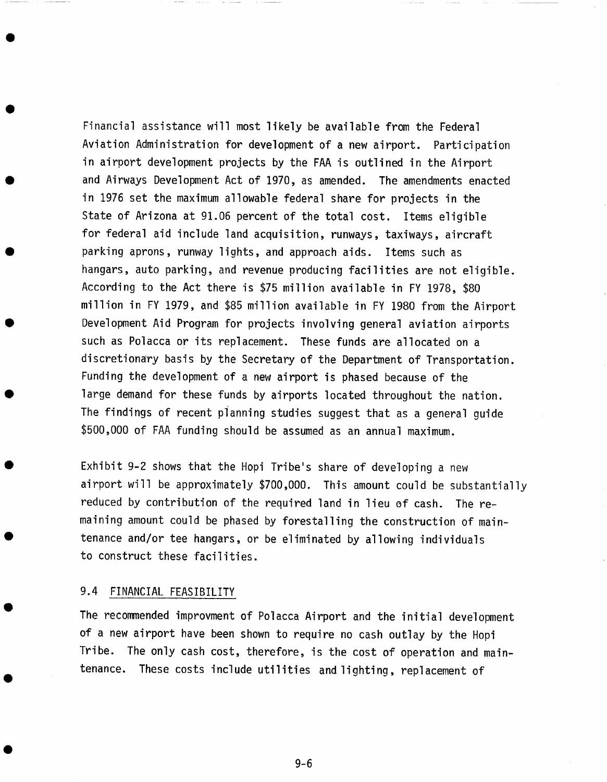Financial assistance will most likely be available from the Federal Aviation Administration for development of a new airport. Participation in airport development projects by the FAA is outlined in the Airport and Airways Development Act of 1970, as amended. The amendments enacted in 1976 set the maximum allowable federal share for projects in the State of Arizona at 91.06 percent of the total cost. Items eligible for federal aid include land acquisition, runways, taxiways, aircraft parking aprons, runway lights, and approach aids. Items such as hangars, auto parking, and revenue producing facilities are not eligible. According to the Act there is \$75 million available in FY 1978, \$80 million in FY 1979, and \$85 million available in FY 1980 from the Airport Development Aid Program for projects involving general aviation airports such as Polacca or its replacement. These funds are allocated on a discretionary basis by the Secretary of the Department of Transportation. Funding the development of a new airport is phased because of the large demand for these funds by airports located throughout the nation. The findings of recent planning studies suggest that as a general guide \$500,000 of FAA funding should be assumed as an annual maximum.

Exhibit 9-2 shows that the Hopi Tribe's share of developing a new airport will be approximately \$700,000. This amount could be substantially reduced by contribution of the required land in lieu of cash. The remaining amount could be phased by forestalling the construction of maintenance and/or tee hangars, or be eliminated by allowing individuals to construct these facilities.

#### 9.4 FINANCIAL FEASIBILITY

The recommended improvment of Polacca Airport and the initial development of a new airport have been shown to require no cash outlay by the Hopi Tribe. The only cash cost, therefore, is the cost of operation and maintenance. These costs include utilities and lighting, replacement of